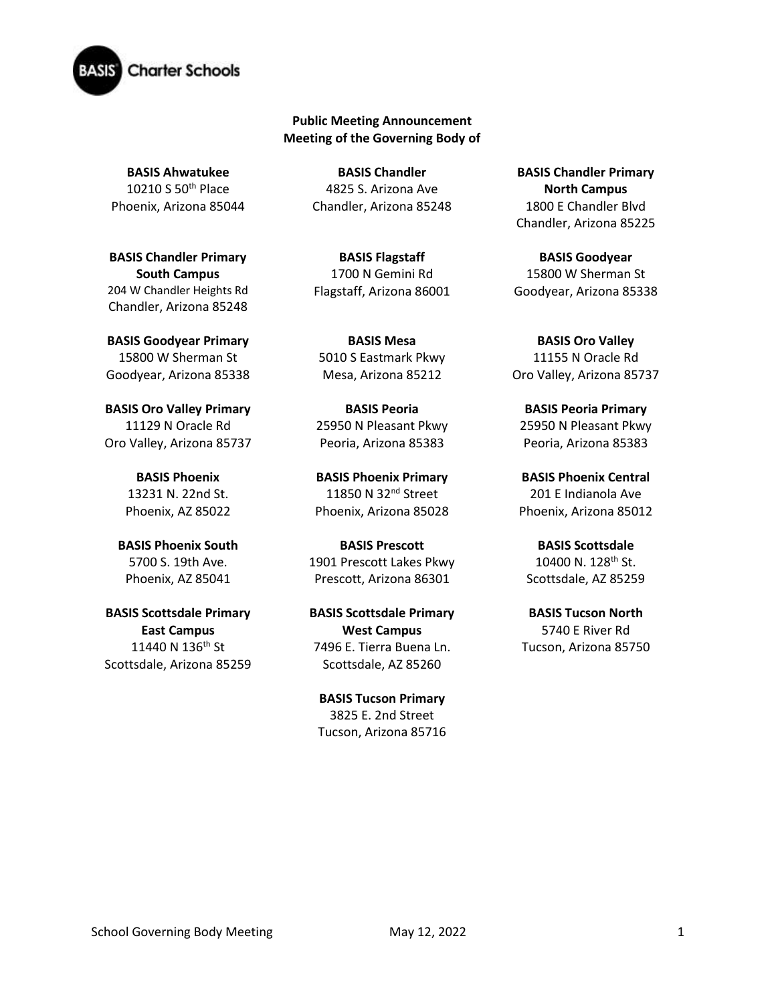

## **Public Meeting Announcement Meeting of the Governing Body of**

**BASIS Ahwatukee** 10210 S 50th Place Phoenix, Arizona 85044

**BASIS Chandler Primary South Campus**  204 W Chandler Heights Rd Chandler, Arizona 85248

**BASIS Goodyear Primary** 15800 W Sherman St Goodyear, Arizona 85338

**BASIS Oro Valley Primary**  11129 N Oracle Rd Oro Valley, Arizona 85737

> **BASIS Phoenix** 13231 N. 22nd St. Phoenix, AZ 85022

**BASIS Phoenix South**  5700 S. 19th Ave. Phoenix, AZ 85041

**BASIS Scottsdale Primary East Campus** 11440 N 136th St Scottsdale, Arizona 85259

**BASIS Chandler** 4825 S. Arizona Ave Chandler, Arizona 85248

**BASIS Flagstaff** 1700 N Gemini Rd Flagstaff, Arizona 86001

**BASIS Mesa**  5010 S Eastmark Pkwy Mesa, Arizona 85212

**BASIS Peoria** 25950 N Pleasant Pkwy Peoria, Arizona 85383

**BASIS Phoenix Primary** 11850 N 32<sup>nd</sup> Street Phoenix, Arizona 85028

**BASIS Prescott** 1901 Prescott Lakes Pkwy Prescott, Arizona 86301

**BASIS Scottsdale Primary West Campus** 7496 E. Tierra Buena Ln. Scottsdale, AZ 85260

**BASIS Tucson Primary** 3825 E. 2nd Street Tucson, Arizona 85716

**BASIS Chandler Primary North Campus** 1800 E Chandler Blvd Chandler, Arizona 85225

**BASIS Goodyear** 15800 W Sherman St Goodyear, Arizona 85338

**BASIS Oro Valley** 11155 N Oracle Rd Oro Valley, Arizona 85737

**BASIS Peoria Primary**  25950 N Pleasant Pkwy Peoria, Arizona 85383

**BASIS Phoenix Central** 201 E Indianola Ave Phoenix, Arizona 85012

**BASIS Scottsdale** 10400 N. 128th St. Scottsdale, AZ 85259

**BASIS Tucson North** 5740 E River Rd Tucson, Arizona 85750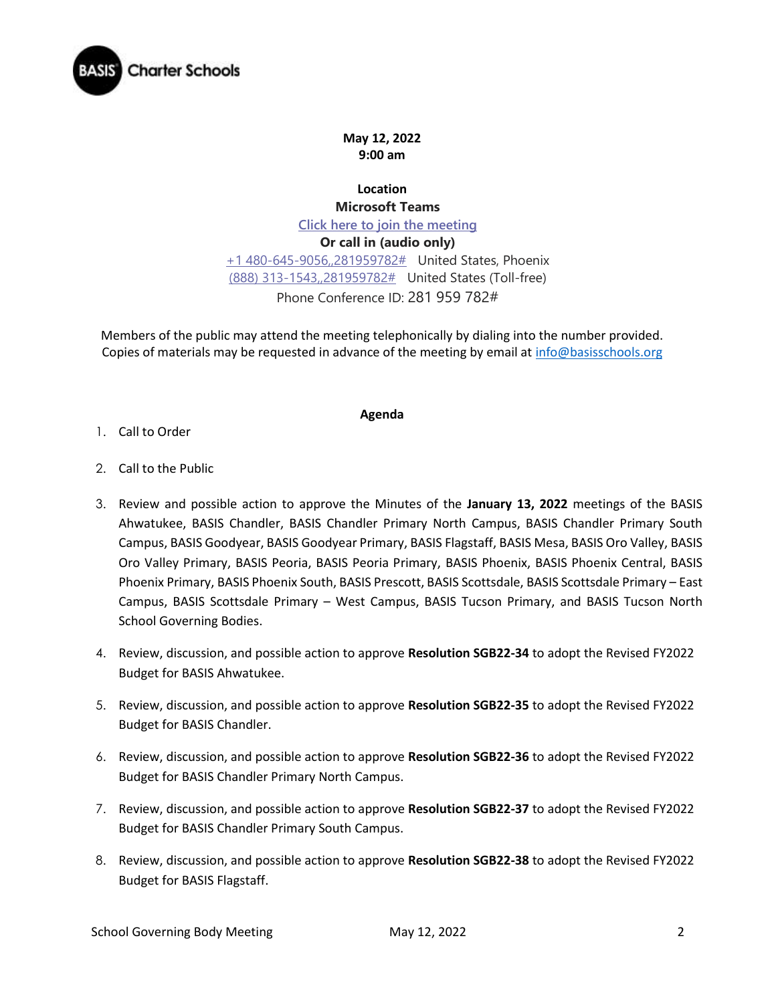

**May 12, 2022 9:00 am**

**Location Microsoft Teams [Click here to join the meeting](https://teams.microsoft.com/l/meetup-join/19%3ameeting_OGY5YzZkZTMtNTAzZC00MzA0LWE4MWYtYTVjZDY5ZjRiYTcw%40thread.v2/0?context=%7b%22Tid%22%3a%22e5f3479c-502f-4e92-b060-0c0c560d6271%22%2c%22Oid%22%3a%22575e4f74-824e-48e9-9805-77af91568d41%22%7d) Or call in (audio only)** [+1 480-645-9056,,281959782#](tel:+14806459056,,281959782# ) United States, Phoenix [\(888\) 313-1543,,281959782#](tel:8883131543,,281959782# ) United States (Toll-free) Phone Conference ID: 281 959 782#

Members of the public may attend the meeting telephonically by dialing into the number provided. Copies of materials may be requested in advance of the meeting by email at [info@basisschools.org](mailto:info@basisschools.org)

## **Agenda**

- 1. Call to Order
- 2. Call to the Public
- 3. Review and possible action to approve the Minutes of the **January 13, 2022** meetings of the BASIS Ahwatukee, BASIS Chandler, BASIS Chandler Primary North Campus, BASIS Chandler Primary South Campus, BASIS Goodyear, BASIS Goodyear Primary, BASIS Flagstaff, BASIS Mesa, BASIS Oro Valley, BASIS Oro Valley Primary, BASIS Peoria, BASIS Peoria Primary, BASIS Phoenix, BASIS Phoenix Central, BASIS Phoenix Primary, BASIS Phoenix South, BASIS Prescott, BASIS Scottsdale, BASIS Scottsdale Primary – East Campus, BASIS Scottsdale Primary – West Campus, BASIS Tucson Primary, and BASIS Tucson North School Governing Bodies.
- 4. Review, discussion, and possible action to approve **Resolution SGB22-34** to adopt the Revised FY2022 Budget for BASIS Ahwatukee.
- 5. Review, discussion, and possible action to approve **Resolution SGB22-35** to adopt the Revised FY2022 Budget for BASIS Chandler.
- 6. Review, discussion, and possible action to approve **Resolution SGB22-36** to adopt the Revised FY2022 Budget for BASIS Chandler Primary North Campus.
- 7. Review, discussion, and possible action to approve **Resolution SGB22-37** to adopt the Revised FY2022 Budget for BASIS Chandler Primary South Campus.
- 8. Review, discussion, and possible action to approve **Resolution SGB22-38** to adopt the Revised FY2022 Budget for BASIS Flagstaff.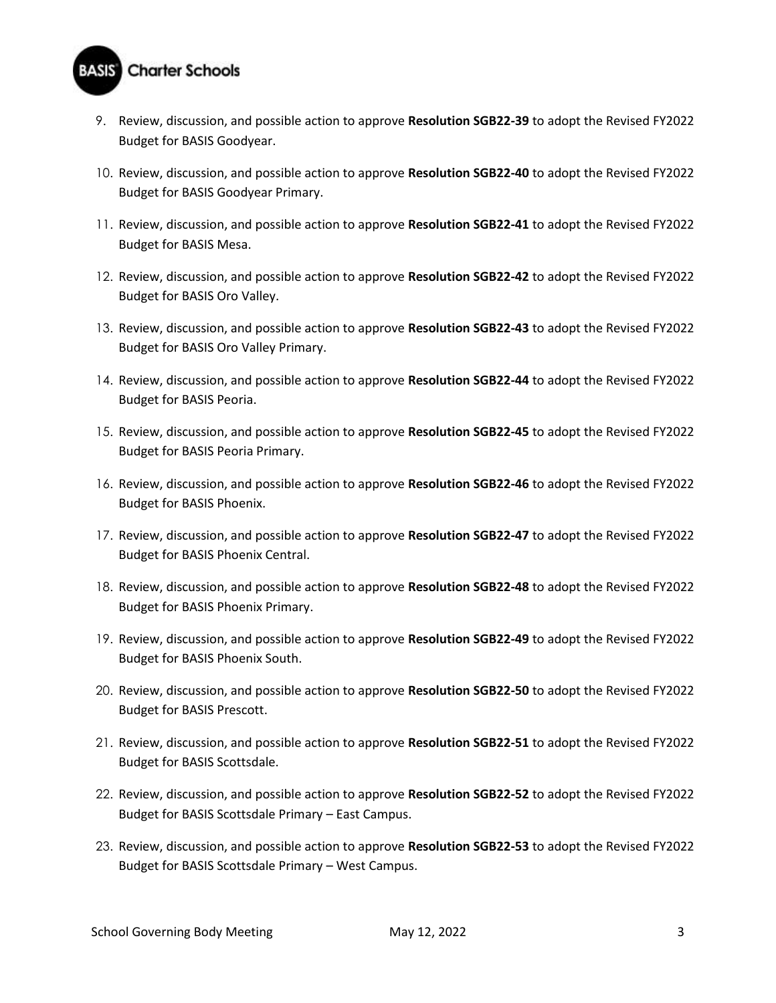

- 9. Review, discussion, and possible action to approve **Resolution SGB22-39** to adopt the Revised FY2022 Budget for BASIS Goodyear.
- 10. Review, discussion, and possible action to approve **Resolution SGB22-40** to adopt the Revised FY2022 Budget for BASIS Goodyear Primary.
- 11. Review, discussion, and possible action to approve **Resolution SGB22-41** to adopt the Revised FY2022 Budget for BASIS Mesa.
- 12. Review, discussion, and possible action to approve **Resolution SGB22-42** to adopt the Revised FY2022 Budget for BASIS Oro Valley.
- 13. Review, discussion, and possible action to approve **Resolution SGB22-43** to adopt the Revised FY2022 Budget for BASIS Oro Valley Primary.
- 14. Review, discussion, and possible action to approve **Resolution SGB22-44** to adopt the Revised FY2022 Budget for BASIS Peoria.
- 15. Review, discussion, and possible action to approve **Resolution SGB22-45** to adopt the Revised FY2022 Budget for BASIS Peoria Primary.
- 16. Review, discussion, and possible action to approve **Resolution SGB22-46** to adopt the Revised FY2022 Budget for BASIS Phoenix.
- 17. Review, discussion, and possible action to approve **Resolution SGB22-47** to adopt the Revised FY2022 Budget for BASIS Phoenix Central.
- 18. Review, discussion, and possible action to approve **Resolution SGB22-48** to adopt the Revised FY2022 Budget for BASIS Phoenix Primary.
- 19. Review, discussion, and possible action to approve **Resolution SGB22-49** to adopt the Revised FY2022 Budget for BASIS Phoenix South.
- 20. Review, discussion, and possible action to approve **Resolution SGB22-50** to adopt the Revised FY2022 Budget for BASIS Prescott.
- 21. Review, discussion, and possible action to approve **Resolution SGB22-51** to adopt the Revised FY2022 Budget for BASIS Scottsdale.
- 22. Review, discussion, and possible action to approve **Resolution SGB22-52** to adopt the Revised FY2022 Budget for BASIS Scottsdale Primary – East Campus.
- 23. Review, discussion, and possible action to approve **Resolution SGB22-53** to adopt the Revised FY2022 Budget for BASIS Scottsdale Primary – West Campus.